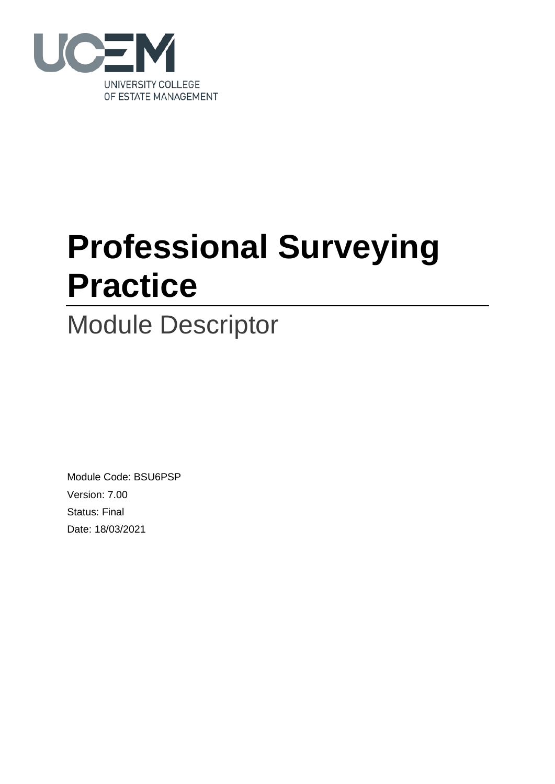

# **Professional Surveying Practice**

# Module Descriptor

Module Code: BSU6PSP Version: 7.00 Status: Final Date: 18/03/2021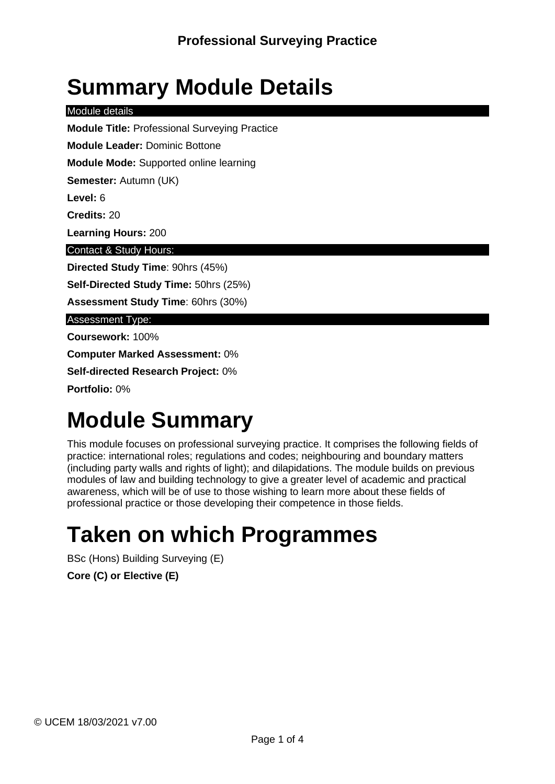# **Summary Module Details**

Module details

**Module Title:** Professional Surveying Practice

**Module Leader:** Dominic Bottone

**Module Mode:** Supported online learning

**Semester:** Autumn (UK)

**Level:** 6

**Credits:** 20

**Learning Hours:** 200

Contact & Study Hours:

**Directed Study Time**: 90hrs (45%)

**Self-Directed Study Time:** 50hrs (25%)

**Assessment Study Time**: 60hrs (30%)

Assessment Type:

**Coursework:** 100%

**Computer Marked Assessment:** 0%

**Self-directed Research Project:** 0%

**Portfolio:** 0%

# **Module Summary**

This module focuses on professional surveying practice. It comprises the following fields of practice: international roles; regulations and codes; neighbouring and boundary matters (including party walls and rights of light); and dilapidations. The module builds on previous modules of law and building technology to give a greater level of academic and practical awareness, which will be of use to those wishing to learn more about these fields of professional practice or those developing their competence in those fields.

## **Taken on which Programmes**

BSc (Hons) Building Surveying (E)

**Core (C) or Elective (E)**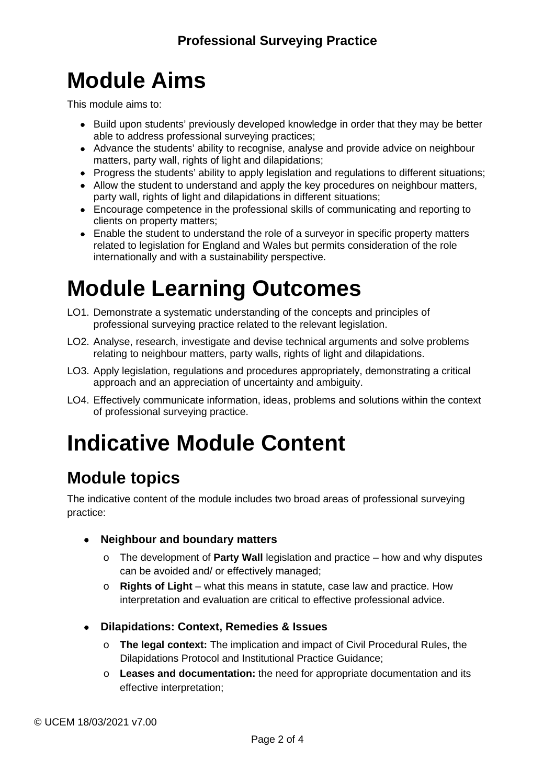# **Module Aims**

This module aims to:

- Build upon students' previously developed knowledge in order that they may be better able to address professional surveying practices;
- Advance the students' ability to recognise, analyse and provide advice on neighbour matters, party wall, rights of light and dilapidations;
- Progress the students' ability to apply legislation and regulations to different situations;
- Allow the student to understand and apply the key procedures on neighbour matters, party wall, rights of light and dilapidations in different situations;
- Encourage competence in the professional skills of communicating and reporting to clients on property matters;
- Enable the student to understand the role of a surveyor in specific property matters related to legislation for England and Wales but permits consideration of the role internationally and with a sustainability perspective.

# **Module Learning Outcomes**

- LO1. Demonstrate a systematic understanding of the concepts and principles of professional surveying practice related to the relevant legislation.
- LO2. Analyse, research, investigate and devise technical arguments and solve problems relating to neighbour matters, party walls, rights of light and dilapidations.
- LO3. Apply legislation, regulations and procedures appropriately, demonstrating a critical approach and an appreciation of uncertainty and ambiguity.
- LO4. Effectively communicate information, ideas, problems and solutions within the context of professional surveying practice.

# **Indicative Module Content**

#### **Module topics**

The indicative content of the module includes two broad areas of professional surveying practice:

- **Neighbour and boundary matters**
	- o The development of **Party Wall** legislation and practice how and why disputes can be avoided and/ or effectively managed;
	- o **Rights of Light** what this means in statute, case law and practice. How interpretation and evaluation are critical to effective professional advice.
- **Dilapidations: Context, Remedies & Issues**
	- o **The legal context:** The implication and impact of Civil Procedural Rules, the Dilapidations Protocol and Institutional Practice Guidance;
	- o **Leases and documentation:** the need for appropriate documentation and its effective interpretation;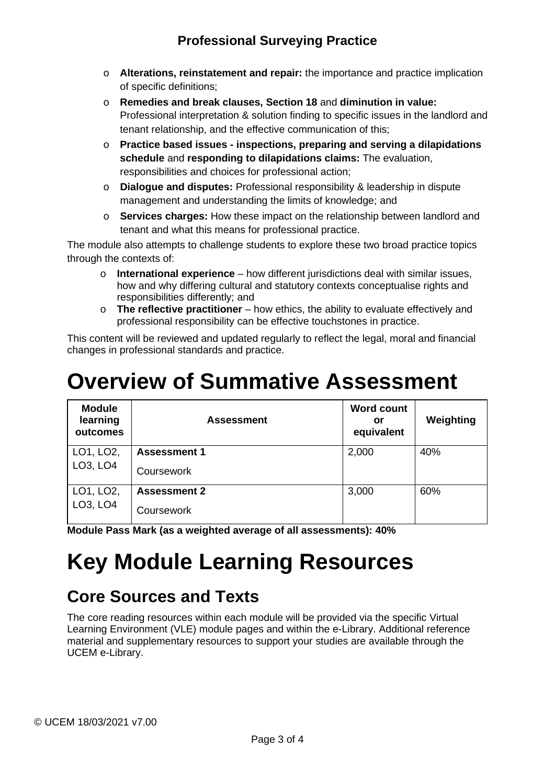#### **Professional Surveying Practice**

- o **Alterations, reinstatement and repair:** the importance and practice implication of specific definitions;
- o **Remedies and break clauses, Section 18** and **diminution in value:**  Professional interpretation & solution finding to specific issues in the landlord and tenant relationship, and the effective communication of this;
- o **Practice based issues - inspections, preparing and serving a dilapidations schedule** and **responding to dilapidations claims:** The evaluation, responsibilities and choices for professional action;
- o **Dialogue and disputes:** Professional responsibility & leadership in dispute management and understanding the limits of knowledge; and
- o **Services charges:** How these impact on the relationship between landlord and tenant and what this means for professional practice.

The module also attempts to challenge students to explore these two broad practice topics through the contexts of:

- o **International experience**  how different jurisdictions deal with similar issues, how and why differing cultural and statutory contexts conceptualise rights and responsibilities differently; and
- o **The reflective practitioner**  how ethics, the ability to evaluate effectively and professional responsibility can be effective touchstones in practice.

This content will be reviewed and updated regularly to reflect the legal, moral and financial changes in professional standards and practice.

### **Overview of Summative Assessment**

| <b>Module</b><br>learning<br>outcomes          | <b>Assessment</b>   | <b>Word count</b><br>or<br>equivalent | Weighting |
|------------------------------------------------|---------------------|---------------------------------------|-----------|
| LO1, LO2,                                      | <b>Assessment 1</b> | 2,000                                 | 40%       |
| LO <sub>3</sub> , LO <sub>4</sub>              | Coursework          |                                       |           |
| LO1, LO2,<br>LO <sub>3</sub> , LO <sub>4</sub> | <b>Assessment 2</b> | 3,000                                 | 60%       |
|                                                | Coursework          |                                       |           |

**Module Pass Mark (as a weighted average of all assessments): 40%**

# **Key Module Learning Resources**

#### **Core Sources and Texts**

The core reading resources within each module will be provided via the specific Virtual Learning Environment (VLE) module pages and within the e-Library. Additional reference material and supplementary resources to support your studies are available through the UCEM e-Library.